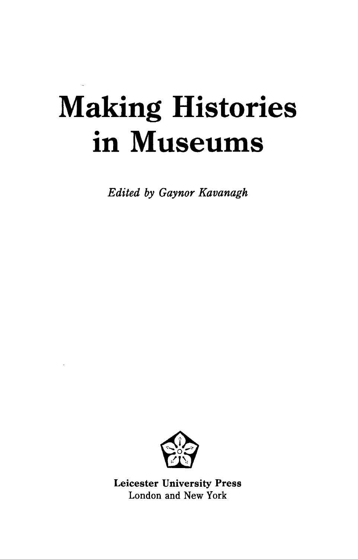## **Making Histories in Museums**

*Edited by Gaynor Kavanagh*



Leicester University Press London and New York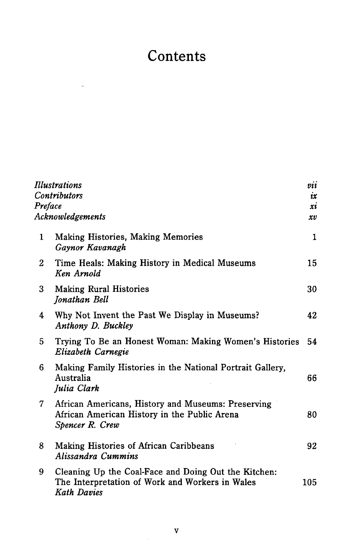## **Contents**

 $\overline{\phantom{a}}$ 

|                         | Illustrations                                                                                                          | $\it{vii}$ |  |
|-------------------------|------------------------------------------------------------------------------------------------------------------------|------------|--|
|                         | <b>Contributors</b>                                                                                                    | ix         |  |
|                         | Preface                                                                                                                |            |  |
| <b>Acknowledgements</b> |                                                                                                                        |            |  |
| 1                       | <b>Making Histories, Making Memories</b><br>Gaynor Kavanagh                                                            | 1          |  |
| 2                       | Time Heals: Making History in Medical Museums<br>Ken Arnold                                                            | 15         |  |
| 3                       | <b>Making Rural Histories</b><br>Jonathan Bell                                                                         | 30         |  |
| 4                       | Why Not Invent the Past We Display in Museums?<br>Anthony D. Buckley                                                   | 42         |  |
| 5                       | Trying To Be an Honest Woman: Making Women's Histories<br>Elizabeth Carnegie                                           | 54         |  |
| 6                       | Making Family Histories in the National Portrait Gallery,<br>Australia<br>Julia Clark                                  | 66         |  |
| 7                       | African Americans, History and Museums: Preserving<br>African American History in the Public Arena<br>Spencer R. Crew  | 80         |  |
| 8                       | Making Histories of African Caribbeans<br>Alissandra Cummins                                                           | 92         |  |
| 9                       | Cleaning Up the Coal-Face and Doing Out the Kitchen:<br>The Interpretation of Work and Workers in Wales<br>Kath Davies | 105        |  |

 $\overline{\phantom{a}}$